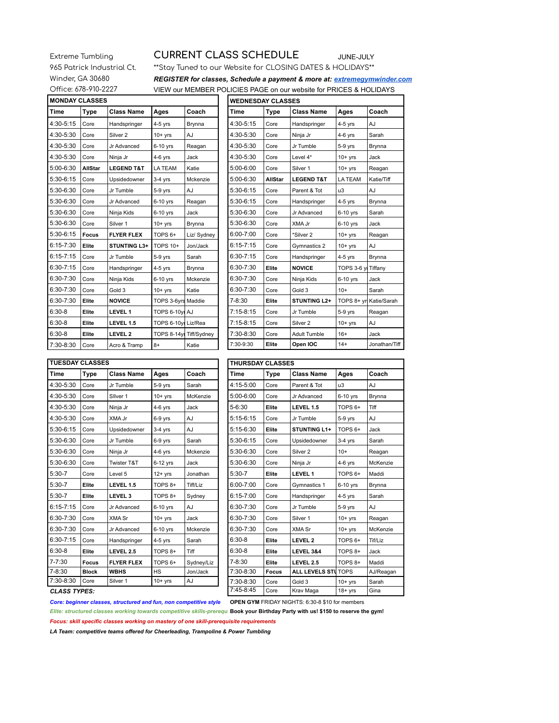## Extreme Tumbling **CURRENT CLASS SCHEDULE** JUNE-JULY

## 965 Patrick Industrial Ct. \*\* Stay Tuned to our Website for CLOSING DATES & HOLIDAYS\*\* Winder, GA 30680 *REGISTER for classes, Schedule a payment & more at: extremegymwinder.com* Office: 678-910-2227 VIEW our MEMBER POLICIES PAGE on our website for PRICES & HOLIDAYS

| <b>IMONDAY CLASSES</b> |                |                       |                         |             | <b>WEDNESDAY CLASSES</b> |                |                       |                       |            |  |  |  |
|------------------------|----------------|-----------------------|-------------------------|-------------|--------------------------|----------------|-----------------------|-----------------------|------------|--|--|--|
| Time                   | Type           | <b>Class Name</b>     | Ages                    | Coach       | Time                     | <b>Type</b>    | <b>Class Name</b>     | Ages                  | Coach      |  |  |  |
| 4:30-5:15              | Core           | Handspringer          | $4-5$ yrs               | Brynna      | 4:30-5:15                | Core           | Handspringer          | $4-5$ yrs             | AJ         |  |  |  |
| 4:30-5:30              | Core           | Silver <sub>2</sub>   | $10+$ yrs               | AJ          | 4:30-5:30                | Core           | Ninja Jr              | $4-6$ yrs             | Sarah      |  |  |  |
| 4:30-5:30              | Core           | Jr Advanced           | 6-10 yrs                | Reagan      | 4:30-5:30                | Core           | Jr Tumble             | $5-9$ yrs             | Brynna     |  |  |  |
| 4:30-5:30              | Core           | Ninja Jr              | $4-6$ yrs               | Jack        | 4:30-5:30                | Core           | Level 4*              | $10+$ yrs             | Jack       |  |  |  |
| 5:00-6:30              | <b>AllStar</b> | <b>LEGEND T&amp;T</b> | <b>LA TEAM</b>          | Katie       | 5:00-6:00                | Core           | Silver <sub>1</sub>   | $10+vrs$              | Reagan     |  |  |  |
| 5:30-6:15              | Core           | Upsidedowner          | $3-4$ yrs               | Mckenzie    | 5:00-6:30                | <b>AllStar</b> | <b>LEGEND T&amp;T</b> | <b>LA TEAM</b>        | Katie/Tiff |  |  |  |
| 5:30-6:30              | Core           | Jr Tumble             | $5-9$ yrs               | AJ          | 5:30-6:15                | Core           | Parent & Tot          | u3                    | AJ         |  |  |  |
| 5:30-6:30              | Core           | Jr Advanced           | 6-10 yrs                | Reagan      | 5:30-6:15                | Core           | Handspringer          | $4-5$ yrs             | Brynna     |  |  |  |
| 5:30-6:30              | Core           | Ninja Kids            | $6-10$ yrs              | Jack        | 5:30-6:30                | Core           | Jr Advanced           | 6-10 yrs              | Sarah      |  |  |  |
| 5:30-6:30              | Core           | Silver <sub>1</sub>   | $10+$ yrs               | Brynna      | 5:30-6:30                | Core           | XMA Jr                | $6-10$ yrs            | Jack       |  |  |  |
| 5:30-6:15              | <b>Focus</b>   | <b>FLYER FLEX</b>     | TOPS <sub>6+</sub>      | Liz/ Sydney | 6:00-7:00                | Core           | *Silver 2             | $10+$ yrs             | Reagan     |  |  |  |
| $6:15 - 7:30$          | Elite          | <b>STUNTING L3+</b>   | <b>TOPS 10+</b>         | Jon/Jack    | $6:15 - 7:15$            | Core           | Gymnastics 2          | $10+$ yrs             | AJ         |  |  |  |
| $6:15 - 7:15$          | Core           | Jr Tumble             | $5-9$ yrs               | Sarah       | $6:30 - 7:15$            | Core           | Handspringer          | $4-5$ yrs             | Brynna     |  |  |  |
| 6:30-7:15              | Core           | Handspringer          | $4-5$ yrs               | Brynna      | 6:30-7:30                | Elite          | <b>NOVICE</b>         | <b>TOPS 3-6 y</b>     | Tiffany    |  |  |  |
| 6:30-7:30              | Core           | Ninja Kids            | $6-10$ yrs              | Mckenzie    | 6:30-7:30                | Core           | Ninja Kids            | $6-10$ yrs            | Jack       |  |  |  |
| 6:30-7:30              | Core           | Gold 3                | $10+$ yrs               | Katie       | 6:30-7:30                | Core           | Gold 3                | $10+$                 | Sarah      |  |  |  |
| 6:30-7:30              | Elite          | <b>NOVICE</b>         | TOPS 3-6yrs Maddie      |             | $7 - 8:30$               | Elite          | <b>STUNTING L2+</b>   | TOPS 8+ yrl Katie/Sar |            |  |  |  |
| $6:30-8$               | Elite          | <b>LEVEL 1</b>        | TOPS 6-10yl AJ          |             | $7:15-8:15$              | Core           | Jr Tumble             | $5-9$ yrs             | Reagan     |  |  |  |
| $6:30-8$               | Elite          | LEVEL 1.5             | TOPS 6-10vil Liz/Rea    |             | $7:15-8:15$              | Core           | Silver <sub>2</sub>   | $10+$ yrs             | AJ         |  |  |  |
| $6:30-8$               | Elite          | LEVEL 2               | TOPS 8-14yr Tiff/Sydney |             | 7:30-8:30                | Core           | <b>Adult Tumble</b>   | $16+$                 | Jack       |  |  |  |
| 7:30-8:30              | Core           | Acro & Tramp          | $8+$                    | Katie       | 7:30-9:30                | Elite          | Open IOC              | $14+$                 | Jonathan   |  |  |  |
|                        |                |                       |                         |             |                          |                |                       |                       |            |  |  |  |

| <b>MONDAY CLASSES</b> |                |                       |                         |             | <b>WEDNESDAY CLASSES</b> |                |                       |                         |               |  |
|-----------------------|----------------|-----------------------|-------------------------|-------------|--------------------------|----------------|-----------------------|-------------------------|---------------|--|
| Time                  | Type           | <b>Class Name</b>     | Ages                    | Coach       | <b>Time</b>              | Type           | <b>Class Name</b>     | Ages                    | Coach         |  |
| 4:30-5:15             | Core           | Handspringer          | $4-5$ yrs               | Brynna      | 4:30-5:15                | Core           | Handspringer          | $4-5$ yrs               | AJ            |  |
| 4:30-5:30             | Core           | Silver <sub>2</sub>   | $10+$ yrs               | AJ          | 4:30-5:30                | Core           | Ninja Jr              | $4-6$ yrs               | Sarah         |  |
| 4:30-5:30             | Core           | Jr Advanced           | 6-10 yrs                | Reagan      | 4:30-5:30                | Core           | Jr Tumble             | $5-9$ yrs               | Brynna        |  |
| 4:30-5:30             | Core           | Ninja Jr              | $4-6$ yrs               | Jack        | 4:30-5:30                | Core           | Level 4*              | $10+$ yrs               | Jack          |  |
| 5:00-6:30             | <b>AllStar</b> | <b>LEGEND T&amp;T</b> | <b>LA TEAM</b>          | Katie       | $5:00 - 6:00$            | Core           | Silver <sub>1</sub>   | $10+$ yrs               | Reagan        |  |
| 5:30-6:15             | Core           | Upsidedowner          | $3-4$ yrs               | Mckenzie    | 5:00-6:30                | <b>AllStar</b> | <b>LEGEND T&amp;T</b> | <b>LA TEAM</b>          | Katie/Tiff    |  |
| 5:30-6:30             | Core           | Jr Tumble             | $5-9$ yrs               | AJ          | $5:30-6:15$              | Core           | Parent & Tot          | u3                      | AJ            |  |
| 5:30-6:30             | Core           | Jr Advanced           | 6-10 yrs                | Reagan      | 5:30-6:15                | Core           | Handspringer          | $4-5$ yrs               | Brynna        |  |
| 5:30-6:30             | Core           | Ninja Kids            | 6-10 yrs                | Jack        | 5:30-6:30                | Core           | Jr Advanced           | 6-10 yrs                | Sarah         |  |
| 5:30-6:30             | Core           | Silver <sub>1</sub>   | $10+$ yrs               | Brynna      | 5:30-6:30                | Core           | XMA Jr                | $6-10$ yrs              | Jack          |  |
| 5:30-6:15             | <b>Focus</b>   | <b>FLYER FLEX</b>     | TOPS <sub>6+</sub>      | Liz/ Sydney | 6:00-7:00                | Core           | *Silver 2             | $10+yrs$                | Reagan        |  |
| 6:15-7:30             | Elite          | <b>STUNTING L3+</b>   | <b>TOPS 10+</b>         | Jon/Jack    | $6:15 - 7:15$            | Core           | Gymnastics 2          | $10+yrs$                | AJ            |  |
| 6:15-7:15             | Core           | Jr Tumble             | $5-9$ yrs               | Sarah       | $6:30 - 7:15$            | Core           | Handspringer          | $4-5$ yrs               | Brynna        |  |
| 6:30-7:15             | Core           | Handspringer          | $4-5$ yrs               | Brynna      | 6:30-7:30                | Elite          | <b>NOVICE</b>         | TOPS 3-6 yl Tiffany     |               |  |
| 6:30-7:30             | Core           | Ninja Kids            | $6-10$ yrs              | Mckenzie    | 6:30-7:30                | Core           | Ninja Kids            | $6-10$ yrs              | Jack          |  |
| 6:30-7:30             | Core           | Gold 3                | $10+vrs$                | Katie       | 6:30-7:30                | Core           | Gold 3                | $10+$                   | Sarah         |  |
| 6:30-7:30             | Elite          | <b>NOVICE</b>         | TOPS 3-6yrs Maddie      |             | $7 - 8:30$               | Elite          | <b>STUNTING L2+</b>   | TOPS 8+ yrl Katie/Sarah |               |  |
| 6:30-8                | Elite          | <b>LEVEL 1</b>        | TOPS 6-10yl AJ          |             | $7:15-8:15$              | Core           | Jr Tumble             | $5-9$ yrs               | Reagan        |  |
| $6:30-8$              | Elite          | LEVEL 1.5             | TOPS 6-10yr Liz/Rea     |             | $7:15-8:15$              | Core           | Silver <sub>2</sub>   | $10+$ yrs               | AJ            |  |
| 6:30-8                | Elite          | <b>LEVEL 2</b>        | TOPS 8-14yr Tiff/Sydney |             | 7:30-8:30                | Core           | <b>Adult Tumble</b>   | $16+$                   | Jack          |  |
| 7:30-8:30             | Core           | Acro & Tramp          | $8+$                    | Katie       | 7:30-9:30                | Elite          | Open IOC              | $14+$                   | Jonathan/Tiff |  |

| <b>TUESDAY CLASSES</b> |              |                        |                    |            | <b>THURSDAY CLASSES</b> |              |                            |           |           |
|------------------------|--------------|------------------------|--------------------|------------|-------------------------|--------------|----------------------------|-----------|-----------|
| Time                   | Type         | <b>Class Name</b>      | Ages               | Coach      | Time                    | Type         | <b>Class Name</b>          | Ages      | Coach     |
| 4:30-5:30              | Core         | Jr Tumble              | 5-9 yrs            | Sarah      | 4:15-5:00               | Core         | Parent & Tot               | u3        | AJ        |
| 4:30-5:30              | Core         | Silver <sub>1</sub>    | $10+$ yrs          | McKenzie   | 5:00-6:00               | Core         | Jr Advanced                | 6-10 yrs  | Brynna    |
| 4:30-5:30              | Core         | Ninja Jr               | $4-6$ yrs          | Jack       | 5-6:30                  | Elite        | LEVEL 1.5                  | TOPS 6+   | Tiff      |
| 4:30-5:30              | Core         | XMA Jr                 | 6-9 yrs            | AJ         | $5:15-6:15$             | Core         | Jr Tumble                  | 5-9 yrs   | AJ        |
| 5:30-6:15              | Core         | Upsidedowner           | $3-4$ yrs          | AJ         | 5:15-6:30               | Elite        | STUNTING L1+               | TOPS 6+   | Jack      |
| 5:30-6:30              | Core         | Jr Tumble              | 6-9 yrs            | Sarah      | 5:30-6:15               | Core         | Upsidedowner               | $3-4$ yrs | Sarah     |
| 5:30-6:30              | Core         | Ninja Jr               | $4-6$ yrs          | Mckenzie   | 5:30-6:30               | Core         | Silver <sub>2</sub>        | $10+$     | Reagan    |
| 5:30-6:30              | Core         | <b>Twister T&amp;T</b> | 6-12 yrs           | Jack       | 5:30-6:30               | Core         | Ninja Jr                   | $4-6$ yrs | McKenzie  |
| $5:30-7$               | Core         | Level 5                | $12+$ yrs          | Jonathan   | $5:30-7$                | Elite        | LEVEL 1                    | TOPS 6+   | Maddi     |
| $5:30-7$               | Elite        | LEVEL 1.5              | TOPS 8+            | Tiff/Liz   | 6:00-7:00               | Core         | Gymnastics 1               | 6-10 yrs  | Brynna    |
| $5:30-7$               | Elite        | LEVEL <sub>3</sub>     | TOPS <sub>8+</sub> | Sydney     | $6:15 - 7:00$           | Core         | Handspringer               | $4-5$ yrs | Sarah     |
| $6:15 - 7:15$          | Core         | Jr Advanced            | $6-10$ yrs         | AJ         | 6:30-7:30               | Core         | Jr Tumble                  | $5-9$ yrs | AJ        |
| 6:30-7:30              | Core         | XMA Sr                 | $10+$ yrs          | Jack       | 6:30-7:30               | Core         | Silver <sub>1</sub>        | $10+$ yrs | Reagan    |
| 6:30-7:30              | Core         | Jr Advanced            | $6-10$ yrs         | Mckenzie   | 6:30-7:30               | Core         | XMA Sr                     | $10+$ yrs | McKenzie  |
| $6:30 - 7:15$          | Core         | Handspringer           | $4-5$ yrs          | Sarah      | $6:30-8$                | Elite        | LEVEL 2                    | TOPS 6+   | Tif/Liz   |
| $6:30-8$               | Elite        | LEVEL 2.5              | TOPS 8+            | Tiff       | $6:30-8$                | Elite        | LEVEL 3&4                  | TOPS 8+   | Jack      |
| $7 - 7:30$             | <b>Focus</b> | <b>FLYER FLEX</b>      | TOPS <sub>6+</sub> | Sydney/Liz | $7 - 8:30$              | Elite        | LEVEL 2.5                  | TOPS 8+   | Maddi     |
| $7 - 8:30$             | <b>Block</b> | <b>WBHS</b>            | HS                 | Jon/Jack   | 7:30-8:30               | <b>Focus</b> | <b>ALL LEVELS STU TOPS</b> |           | AJ/Reagar |
| 7:30-8:30              | Core         | Silver 1               | $10+$ yrs          | AJ         | 7:30-8:30               | Core         | Gold 3                     | $10+$ yrs | Sarah     |

| <b>TUESDAY CLASSES</b> |              |                        |                    |            |  |               | <b>THURSDAY CLASSES</b> |                     |                            |
|------------------------|--------------|------------------------|--------------------|------------|--|---------------|-------------------------|---------------------|----------------------------|
| Time                   | Type         | <b>Class Name</b>      | Ages               | Coach      |  | Time          | Type                    | <b>Class Name</b>   | Ages                       |
| 4:30-5:30              | Core         | Jr Tumble              | $5-9$ yrs          | Sarah      |  | 4:15-5:00     | Core                    | Parent & Tot        | u3                         |
| 4:30-5:30              | Core         | Silver <sub>1</sub>    | $10+$ yrs          | McKenzie   |  | $5:00 - 6:00$ | Core                    | Jr Advanced         | 6-10 yrs                   |
| 4:30-5:30              | Core         | Ninja Jr               | $4-6$ yrs          | Jack       |  | $5 - 6:30$    | Elite                   | LEVEL 1.5           | TOPS <sub>6+</sub>         |
| 4:30-5:30              | Core         | XMA Jr                 | $6-9$ yrs          | AJ         |  | $5:15-6:15$   | Core                    | Jr Tumble           | 5-9 yrs                    |
| 5:30-6:15              | Core         | Upsidedowner           | $3-4$ yrs          | AJ         |  | $5:15-6:30$   | Elite                   | STUNTING L1+        | TOPS 6+                    |
| 5:30-6:30              | Core         | Jr Tumble              | $6-9$ yrs          | Sarah      |  | $5:30-6:15$   | Core                    | Upsidedowner        | $3-4$ yrs                  |
| 5:30-6:30              | Core         | Ninja Jr               | $4-6$ yrs          | Mckenzie   |  | 5:30-6:30     | Core                    | Silver <sub>2</sub> | $10+$                      |
| 5:30-6:30              | Core         | <b>Twister T&amp;T</b> | $6-12$ yrs         | Jack       |  | $5:30-6:30$   | Core                    | Ninja Jr            | $4-6$ yrs                  |
| 5:30-7                 | Core         | Level 5                | $12+$ yrs          | Jonathan   |  | $5:30-7$      | Elite                   | LEVEL 1             | TOPS <sub>6+</sub>         |
| 5:30-7                 | Elite        | LEVEL 1.5              | TOPS 8+            | Tiff/Liz   |  | $6:00 - 7:00$ | Core                    | Gymnastics 1        | $6-10$ yrs                 |
| 5:30-7                 | Elite        | LEVEL <sub>3</sub>     | TOPS 8+            | Sydney     |  | $6:15 - 7:00$ | Core                    | Handspringer        | $4-5$ yrs                  |
| 6:15-7:15              | Core         | Jr Advanced            | $6-10$ yrs         | AJ.        |  | $6:30 - 7:30$ | Core                    | Jr Tumble           | $5-9$ yrs                  |
| 6:30-7:30              | Core         | <b>XMA Sr</b>          | $10+$ yrs          | Jack       |  | 6:30-7:30     | Core                    | Silver 1            | $10+$ yrs                  |
| 6:30-7:30              | Core         | Jr Advanced            | 6-10 yrs           | Mckenzie   |  | 6:30-7:30     | Core                    | XMA Sr              | $10+$ yrs                  |
| 6:30-7:15              | Core         | Handspringer           | $4-5$ yrs          | Sarah      |  | $6:30-8$      | Elite                   | LEVEL 2             | TOPS <sub>6+</sub>         |
| 6:30-8                 | Elite        | LEVEL 2.5              | TOPS 8+            | Tiff       |  | $6:30-8$      | Elite                   | LEVEL 3&4           | TOPS 8+                    |
| 7-7:30                 | Focus        | <b>FLYER FLEX</b>      | TOPS <sub>6+</sub> | Sydney/Liz |  | $7 - 8:30$    | Elite                   | LEVEL 2.5           | TOPS 8+                    |
| 7-8:30                 | <b>Block</b> | <b>WBHS</b>            | HS                 | Jon/Jack   |  | 7:30-8:30     | Focus                   |                     | <b>ALL LEVELS STU TOPS</b> |
| 7:30-8:30              | Core         | Silver 1               | $10+$ yrs          | AJ         |  | $7:30-8:30$   | Core                    | Gold 3              | $10+$ yrs                  |
| <b>CLASS TYPES:</b>    |              |                        |                    |            |  | $7:45-8:45$   | Core                    | Krav Maga           | $18 + yrs$                 |

## **CLASS TYPES:**

*Core: beginner classes, structured and fun, non competitive style* **OPEN GYM** FRIDAY NIGHTS: 6:30-8 \$10 for members

*Elite: structured classes working towards competitive skills-prerequ*. Book your Birthday Party with us! \$150 to reserve the gym!

*Focus: skill specific classes working on mastery of one skill-prerequisite requirements*

*LA Team: competitive teams offered for Cheerleading, Trampoline & Power Tumbling*